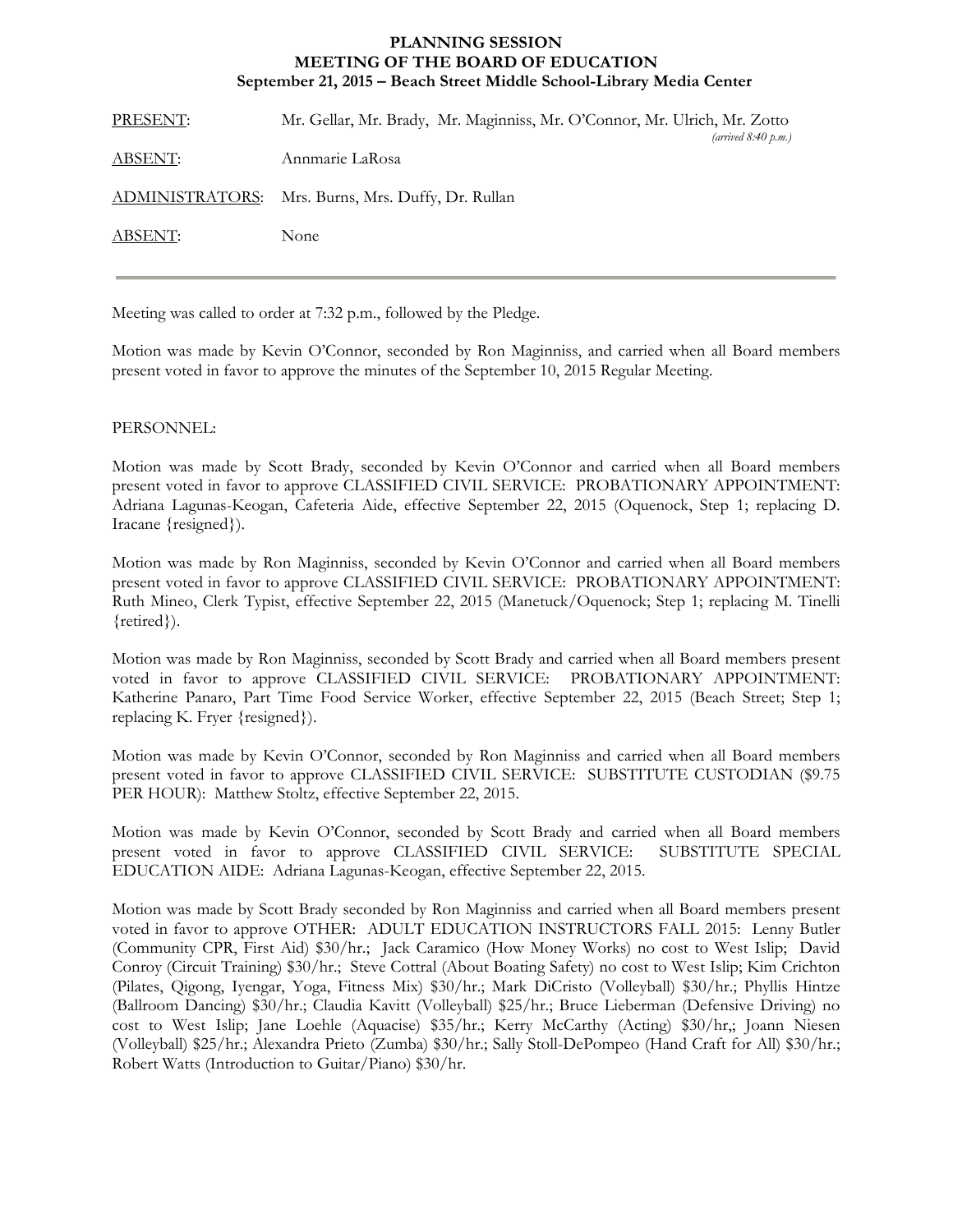## **MEETING OF THE BOARD OF EDUCATION PLANNING SESSION September 21, 2015 – Beach Street Middle School-Library Media Center**

| PRESENT: | Mr. Gellar, Mr. Brady, Mr. Maginniss, Mr. O'Connor, Mr. Ulrich, Mr. Zotto<br>(arrived $8:40 \text{ p.m.}$ ) |
|----------|-------------------------------------------------------------------------------------------------------------|
| ABSENT:  | Annmarie LaRosa                                                                                             |
|          | ADMINISTRATORS: Mrs. Burns, Mrs. Duffy, Dr. Rullan                                                          |
| ABSENT:  | None                                                                                                        |
|          |                                                                                                             |

Meeting was called to order at 7:32 p.m., followed by the Pledge.

Motion was made by Kevin O'Connor, seconded by Ron Maginniss, and carried when all Board members present voted in favor to approve the minutes of the September 10, 2015 Regular Meeting.

## PERSONNEL:

Motion was made by Scott Brady, seconded by Kevin O'Connor and carried when all Board members present voted in favor to approve CLASSIFIED CIVIL SERVICE: PROBATIONARY APPOINTMENT: Adriana Lagunas-Keogan, Cafeteria Aide, effective September 22, 2015 (Oquenock, Step 1; replacing D. Iracane {resigned}).

Motion was made by Ron Maginniss, seconded by Kevin O'Connor and carried when all Board members present voted in favor to approve CLASSIFIED CIVIL SERVICE: PROBATIONARY APPOINTMENT: Ruth Mineo, Clerk Typist, effective September 22, 2015 (Manetuck/Oquenock; Step 1; replacing M. Tinelli {retired}).

Motion was made by Ron Maginniss, seconded by Scott Brady and carried when all Board members present voted in favor to approve CLASSIFIED CIVIL SERVICE: PROBATIONARY APPOINTMENT: Katherine Panaro, Part Time Food Service Worker, effective September 22, 2015 (Beach Street; Step 1; replacing K. Fryer {resigned}).

Motion was made by Kevin O'Connor, seconded by Ron Maginniss and carried when all Board members present voted in favor to approve CLASSIFIED CIVIL SERVICE: SUBSTITUTE CUSTODIAN (\$9.75 PER HOUR): Matthew Stoltz, effective September 22, 2015.

Motion was made by Kevin O'Connor, seconded by Scott Brady and carried when all Board members present voted in favor to approve CLASSIFIED CIVIL SERVICE: SUBSTITUTE SPECIAL EDUCATION AIDE: Adriana Lagunas-Keogan, effective September 22, 2015.

Motion was made by Scott Brady seconded by Ron Maginniss and carried when all Board members present voted in favor to approve OTHER: ADULT EDUCATION INSTRUCTORS FALL 2015: Lenny Butler (Community CPR, First Aid) \$30/hr.; Jack Caramico (How Money Works) no cost to West Islip; David Conroy (Circuit Training) \$30/hr.; Steve Cottral (About Boating Safety) no cost to West Islip; Kim Crichton (Pilates, Qigong, Iyengar, Yoga, Fitness Mix) \$30/hr.; Mark DiCristo (Volleyball) \$30/hr.; Phyllis Hintze (Ballroom Dancing) \$30/hr.; Claudia Kavitt (Volleyball) \$25/hr.; Bruce Lieberman (Defensive Driving) no cost to West Islip; Jane Loehle (Aquacise) \$35/hr.; Kerry McCarthy (Acting) \$30/hr,; Joann Niesen (Volleyball) \$25/hr.; Alexandra Prieto (Zumba) \$30/hr.; Sally Stoll-DePompeo (Hand Craft for All) \$30/hr.; Robert Watts (Introduction to Guitar/Piano) \$30/hr.